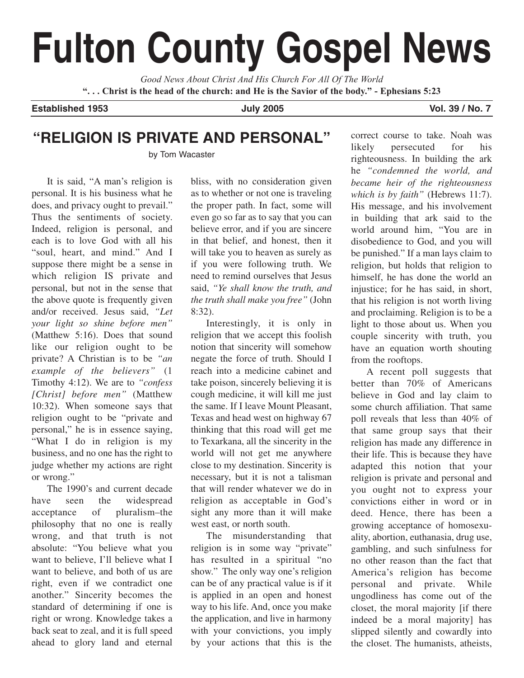# **Fulton County Gospel News**

*Good News About Christ And His Church For All Of The World* **". . . Christ is the head of the church: and He is the Savior of the body." - Ephesians 5:23**

**Established 1953 July 2005 Vol. 39 / No. 7** 

## **"RELIGION IS PRIVATE AND PERSONAL"**

by Tom Wacaster

It is said, "A man's religion is personal. It is his business what he does, and privacy ought to prevail." Thus the sentiments of society. Indeed, religion is personal, and each is to love God with all his "soul, heart, and mind." And I suppose there might be a sense in which religion IS private and personal, but not in the sense that the above quote is frequently given and/or received. Jesus said, *"Let your light so shine before men"* (Matthew 5:16). Does that sound like our religion ought to be private? A Christian is to be *"an example of the believers"* (1 Timothy 4:12). We are to *"confess [Christ] before men"* (Matthew 10:32). When someone says that religion ought to be "private and personal," he is in essence saying, "What I do in religion is my business, and no one has the right to judge whether my actions are right or wrong."

The 1990's and current decade have seen the widespread acceptance of pluralism–the philosophy that no one is really wrong, and that truth is not absolute: "You believe what you want to believe, I'll believe what I want to believe, and both of us are right, even if we contradict one another." Sincerity becomes the standard of determining if one is right or wrong. Knowledge takes a back seat to zeal, and it is full speed ahead to glory land and eternal bliss, with no consideration given as to whether or not one is traveling the proper path. In fact, some will even go so far as to say that you can believe error, and if you are sincere in that belief, and honest, then it will take you to heaven as surely as if you were following truth. We need to remind ourselves that Jesus said, *"Ye shall know the truth, and the truth shall make you free"* (John 8:32).

Interestingly, it is only in religion that we accept this foolish notion that sincerity will somehow negate the force of truth. Should I reach into a medicine cabinet and take poison, sincerely believing it is cough medicine, it will kill me just the same. If I leave Mount Pleasant, Texas and head west on highway 67 thinking that this road will get me to Texarkana, all the sincerity in the world will not get me anywhere close to my destination. Sincerity is necessary, but it is not a talisman that will render whatever we do in religion as acceptable in God's sight any more than it will make west east, or north south.

The misunderstanding that religion is in some way "private" has resulted in a spiritual "no show." The only way one's religion can be of any practical value is if it is applied in an open and honest way to his life. And, once you make the application, and live in harmony with your convictions, you imply by your actions that this is the correct course to take. Noah was likely persecuted for his righteousness. In building the ark he *"condemned the world, and became heir of the righteousness which is by faith"* (Hebrews 11:7). His message, and his involvement in building that ark said to the world around him, "You are in disobedience to God, and you will be punished." If a man lays claim to religion, but holds that religion to himself, he has done the world an injustice; for he has said, in short, that his religion is not worth living and proclaiming. Religion is to be a light to those about us. When you couple sincerity with truth, you have an equation worth shouting from the rooftops.

A recent poll suggests that better than 70% of Americans believe in God and lay claim to some church affiliation. That same poll reveals that less than 40% of that same group says that their religion has made any difference in their life. This is because they have adapted this notion that your religion is private and personal and you ought not to express your convictions either in word or in deed. Hence, there has been a growing acceptance of homosexuality, abortion, euthanasia, drug use, gambling, and such sinfulness for no other reason than the fact that America's religion has become personal and private. While ungodliness has come out of the closet, the moral majority [if there indeed be a moral majority] has slipped silently and cowardly into the closet. The humanists, atheists,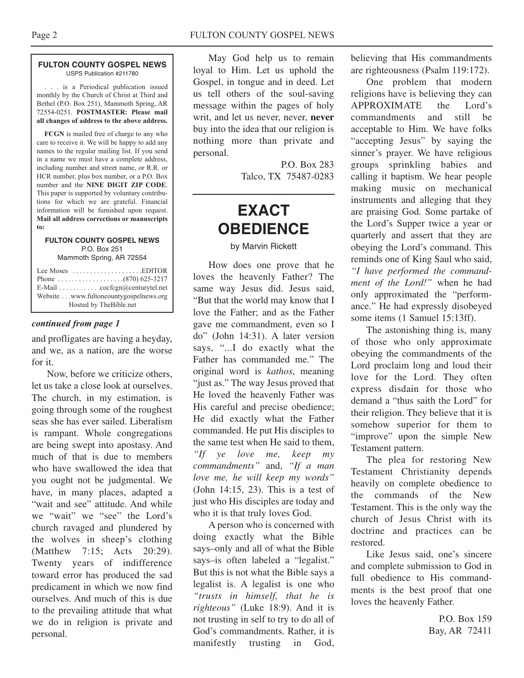#### **FULTON COUNTY GOSPEL NEWS** USPS Publication #211780

. . . is a Periodical publication issued monthly by the Church of Christ at Third and Bethel (P.O. Box 251), Mammoth Spring, AR 72554-0251. **POSTMASTER: Please mail all changes of address to the above address.**

**FCGN** is mailed free of charge to any who care to receive it. We will be happy to add any names to the regular mailing list. If you send in a name we must have a complete address, including number and street name, or R.R. or HCR number, plus box number, or a P.O. Box number and the **NINE DIGIT ZIP CODE**. This paper is supported by voluntary contributions for which we are grateful. Financial information will be furnished upon request. **Mail all address corrections or manuscripts to:**

#### **FULTON COUNTY GOSPEL NEWS** P.O. Box 251

Mammoth Spring, AR 72554

| Lee Moses $\ldots \ldots \ldots \ldots \ldots$ . EDITOR                                                                          |  |
|----------------------------------------------------------------------------------------------------------------------------------|--|
| E-Mail $\ldots \ldots \ldots \ldots$ cocfcgn@centurytel.net<br>Website www.fultoncountygospelnews.org<br>Hosted by The Bible.net |  |

#### *continued from page 1*

and profligates are having a heyday, and we, as a nation, are the worse for it.

Now, before we criticize others, let us take a close look at ourselves. The church, in my estimation, is going through some of the roughest seas she has ever sailed. Liberalism is rampant. Whole congregations are being swept into apostasy. And much of that is due to members who have swallowed the idea that you ought not be judgmental. We have, in many places, adapted a "wait and see" attitude. And while we "wait" we "see" the Lord's church ravaged and plundered by the wolves in sheep's clothing (Matthew 7:15; Acts 20:29). Twenty years of indifference toward error has produced the sad predicament in which we now find ourselves. And much of this is due to the prevailing attitude that what we do in religion is private and personal.

May God help us to remain loyal to Him. Let us uphold the Gospel, in tongue and in deed. Let us tell others of the soul-saving message within the pages of holy writ, and let us never, never, **never** buy into the idea that our religion is nothing more than private and personal.

> P.O. Box 283 Talco, TX 75487-0283

# **EXACT OBEDIENCE**

#### by Marvin Rickett

How does one prove that he loves the heavenly Father? The same way Jesus did. Jesus said, "But that the world may know that I love the Father; and as the Father gave me commandment, even so I do" (John 14:31). A later version says, "...I do exactly what the Father has commanded me." The original word is *kathos*, meaning "just as." The way Jesus proved that He loved the heavenly Father was His careful and precise obedience; He did exactly what the Father commanded. He put His disciples to the same test when He said to them, *"If ye love me, keep my commandments"* and, *"If a man love me, he will keep my words"* (John 14:15, 23). This is a test of just who His disciples are today and who it is that truly loves God.

A person who is concerned with doing exactly what the Bible says–only and all of what the Bible says–is often labeled a "legalist." But this is not what the Bible says a legalist is. A legalist is one who *"trusts in himself, that he is righteous"* (Luke 18:9). And it is not trusting in self to try to do all of God's commandments. Rather, it is manifestly trusting in God,

believing that His commandments are righteousness (Psalm 119:172).

One problem that modern religions have is believing they can APPROXIMATE the Lord's commandments and still be acceptable to Him. We have folks "accepting Jesus" by saying the sinner's prayer. We have religious groups sprinkling babies and calling it baptism. We hear people making music on mechanical instruments and alleging that they are praising God. Some partake of the Lord's Supper twice a year or quarterly and assert that they are obeying the Lord's command. This reminds one of King Saul who said, *"I have performed the commandment of the Lord!"* when he had only approximated the "performance." He had expressly disobeyed some items (1 Samuel 15:13ff).

The astonishing thing is, many of those who only approximate obeying the commandments of the Lord proclaim long and loud their love for the Lord. They often express disdain for those who demand a "thus saith the Lord" for their religion. They believe that it is somehow superior for them to "improve" upon the simple New Testament pattern.

The plea for restoring New Testament Christianity depends heavily on complete obedience to the commands of the New Testament. This is the only way the church of Jesus Christ with its doctrine and practices can be restored.

Like Jesus said, one's sincere and complete submission to God in full obedience to His commandments is the best proof that one loves the heavenly Father.

> P.O. Box 159 Bay, AR 72411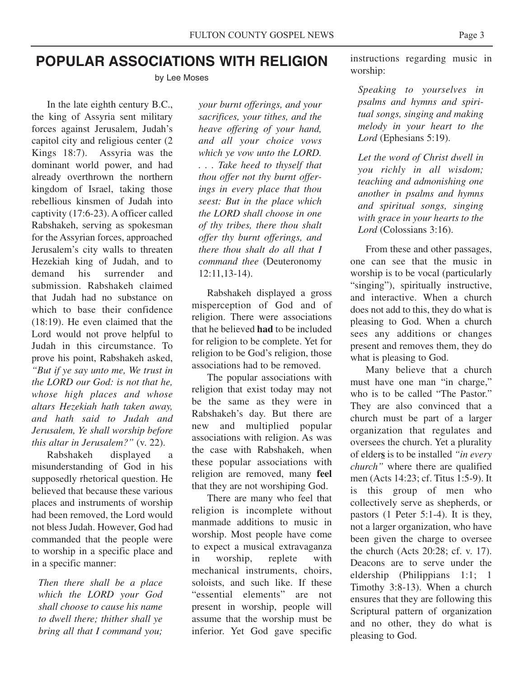## **POPULAR ASSOCIATIONS WITH RELIGION**

by Lee Moses

In the late eighth century B.C., the king of Assyria sent military forces against Jerusalem, Judah's capitol city and religious center (2 Kings 18:7). Assyria was the dominant world power, and had already overthrown the northern kingdom of Israel, taking those rebellious kinsmen of Judah into captivity (17:6-23). A officer called Rabshakeh, serving as spokesman for the Assyrian forces, approached Jerusalem's city walls to threaten Hezekiah king of Judah, and to demand his surrender and submission. Rabshakeh claimed that Judah had no substance on which to base their confidence (18:19). He even claimed that the Lord would not prove helpful to Judah in this circumstance. To prove his point, Rabshakeh asked, *"But if ye say unto me, We trust in the LORD our God: is not that he, whose high places and whose altars Hezekiah hath taken away, and hath said to Judah and Jerusalem, Ye shall worship before this altar in Jerusalem?"* (v. 22).

Rabshakeh displayed a misunderstanding of God in his supposedly rhetorical question. He believed that because these various places and instruments of worship had been removed, the Lord would not bless Judah. However, God had commanded that the people were to worship in a specific place and in a specific manner:

*Then there shall be a place which the LORD your God shall choose to cause his name to dwell there; thither shall ye bring all that I command you;*

*your burnt offerings, and your sacrifices, your tithes, and the heave offering of your hand, and all your choice vows which ye vow unto the LORD. . . . Take heed to thyself that thou offer not thy burnt offerings in every place that thou seest: But in the place which the LORD shall choose in one of thy tribes, there thou shalt offer thy burnt offerings, and there thou shalt do all that I command thee* (Deuteronomy 12:11,13-14).

Rabshakeh displayed a gross misperception of God and of religion. There were associations that he believed **had** to be included for religion to be complete. Yet for religion to be God's religion, those associations had to be removed.

The popular associations with religion that exist today may not be the same as they were in Rabshakeh's day. But there are new and multiplied popular associations with religion. As was the case with Rabshakeh, when these popular associations with religion are removed, many **feel** that they are not worshiping God.

There are many who feel that religion is incomplete without manmade additions to music in worship. Most people have come to expect a musical extravaganza in worship, replete with mechanical instruments, choirs, soloists, and such like. If these "essential elements" are not present in worship, people will assume that the worship must be inferior. Yet God gave specific

instructions regarding music in worship:

*Speaking to yourselves in psalms and hymns and spiritual songs, singing and making melody in your heart to the Lord* (Ephesians 5:19).

*Let the word of Christ dwell in you richly in all wisdom; teaching and admonishing one another in psalms and hymns and spiritual songs, singing with grace in your hearts to the Lord* (Colossians 3:16).

From these and other passages, one can see that the music in worship is to be vocal (particularly "singing"), spiritually instructive, and interactive. When a church does not add to this, they do what is pleasing to God. When a church sees any additions or changes present and removes them, they do what is pleasing to God.

Many believe that a church must have one man "in charge," who is to be called "The Pastor." They are also convinced that a church must be part of a larger organization that regulates and oversees the church. Yet a plurality of elder**s** is to be installed *"in every church"* where there are qualified men (Acts 14:23; cf. Titus 1:5-9). It is this group of men who collectively serve as shepherds, or pastors (1 Peter 5:1-4). It is they, not a larger organization, who have been given the charge to oversee the church (Acts 20:28; cf. v. 17). Deacons are to serve under the eldership (Philippians 1:1; 1 Timothy 3:8-13). When a church ensures that they are following this Scriptural pattern of organization and no other, they do what is pleasing to God.